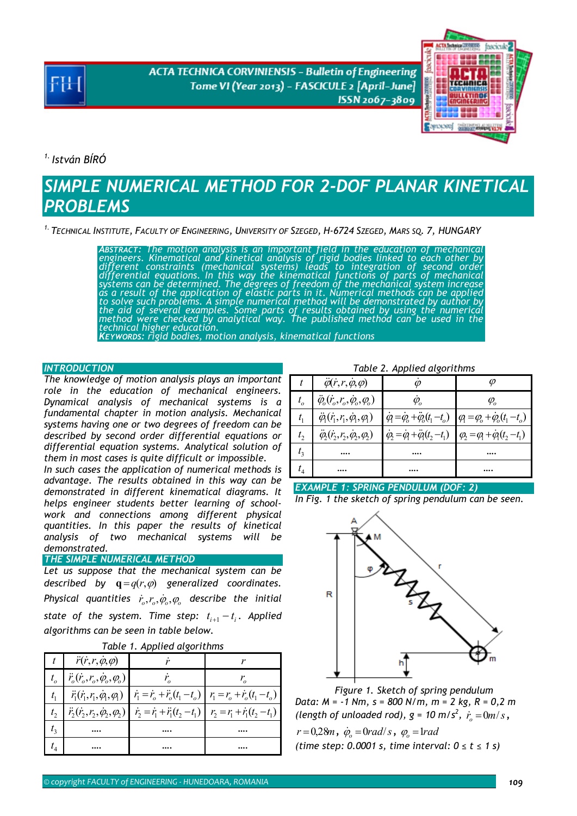**ACTA TECHNICA CORVINIENSIS - Bulletin of Engineering** Tome VI (Year 2013) - FASCICULE 2 [April-June] ISSN 2067-3809



*1. István BÍRÓ* 

# *SIMPLE NUMERICAL METHOD FOR 2-DOF PLANAR KINETICAL PROBLEMS*

*1. TECHNICAL INSTITUTE, FACULTY OF ENGINEERING, UNIVERSITY OF SZEGED, H-6724 SZEGED, MARS SQ. 7, HUNGARY* 

ABSTRACT: The motion analysis is an important field in the education of mechanical engineers. Kinematical and kinetical analysis of rigid bodies linked to each other by different constraints (mechanical systems) leads to i *the aid of several examples. Some parts of results obtained by using the numerical method were checked by analytical way. The published method can be used in the technical higher education.* 

*KEYWORDS: rigid bodies, motion analysis, kinematical functions* 

## **INTRODUCTION**

*The knowledge of motion analysis plays an important role in the education of mechanical engineers. Dynamical analysis of mechanical systems is a fundamental chapter in motion analysis. Mechanical systems having one or two degrees of freedom can be described by second order differential equations or differential equation systems. Analytical solution of them in most cases is quite difficult or impossible.* 

*In such cases the application of numerical methods is advantage. The results obtained in this way can be demonstrated in different kinematical diagrams. It helps engineer students better learning of schoolwork and connections among different physical quantities. In this paper the results of kinetical analysis of two mechanical systems will be demonstrated.* 

*THE SIMPLE NUMERICAL METHOD* 

*Let us suppose that the mechanical system can be described by*  $\mathbf{q} = q(r, \varphi)$  *generalized coordinates. Physical quantities*  $\dot{r}_o, r_o, \dot{\varphi}_o, \varphi_o$  *describe the initial state of the system. Time step:*  $t_{i+1} - t_i$ . Applied *algorithms can be seen in table below.* 

|  |  |  | Table 1. Applied algorithms |
|--|--|--|-----------------------------|
|--|--|--|-----------------------------|

| $\ddot{r}(\dot{r},r,\dot{\varphi},\varphi)$              |                                                                                                                                              |  |
|----------------------------------------------------------|----------------------------------------------------------------------------------------------------------------------------------------------|--|
| $ \ddot{r}_o(\dot{r}_o,r_o,\dot{\varphi}_o,\varphi_o) $  |                                                                                                                                              |  |
| $\ddot{r}_1(\dot{r}_1, r_1, \dot{\varphi}_1, \varphi_1)$ | $\vec{r}_1 = \vec{r}_o + \vec{r}_o(t_1 - t_o)$ $\vec{r}_1 = \vec{r}_o + \vec{r}_o(t_1 - t_o)$                                                |  |
|                                                          | $\vec{r}_2(\vec{r}_2,\vec{r}_2,\dot{\phi}_2,\phi_2)$ $\vec{r}_2 = \vec{r}_1 + \vec{r}_1(t_2 - t_1)$ $\vec{r}_2 = r_1 + \vec{r}_1(t_2 - t_1)$ |  |
|                                                          |                                                                                                                                              |  |
|                                                          |                                                                                                                                              |  |

*Table 2. Applied algorithms*

|                    | $\ddot{\varphi}(\dot{r},r,\dot{\varphi},\varphi)$              |                                                                                                      |                                                                                      |
|--------------------|----------------------------------------------------------------|------------------------------------------------------------------------------------------------------|--------------------------------------------------------------------------------------|
| $t_{o}$            | $\ddot{\varphi}_o(r_o, r_o, \dot{\varphi}_o, \varphi_o)$       | $\varphi$                                                                                            | $\varphi$                                                                            |
|                    | $\ddot{\varphi}_1(\dot{r}_1, r_1, \dot{\varphi}_1, \varphi_1)$ |                                                                                                      | $\dot{q} = \dot{q}_o + \ddot{q}_o(t_1 - t_o)$ $q = \varphi_o + \dot{q}_o(t_1 - t_o)$ |
| t <sub>2</sub>     | $\ddot{\varphi}_1(\dot{r}_1, r_2, \dot{\varphi}_2, \varphi_1)$ | $\dot{\phi}_2 = \dot{\phi}_1 + \ddot{\phi}_1(t_2 - t_1)$ $\phi_2 = \phi_1 + \dot{\phi}_1(t_2 - t_1)$ |                                                                                      |
| $t_{3}$            |                                                                |                                                                                                      |                                                                                      |
| $\scriptstyle t_4$ |                                                                |                                                                                                      |                                                                                      |





*Figure 1. Sketch of spring pendulum Data: M = -1 Nm, s = 800 N/m, m = 2 kg, R = 0,2 m*  (length of unloaded rod),  $g = 10 \text{ m/s}^2$ ,  $\dot{r}_o = 0$ m/s,  $r = 0.28m$ *,*  $\dot{\varphi}_o = 0 rad/s$ *,*  $\varphi_o = 1 rad$ *(time step: 0.0001 s, time interval: 0 ≤ t ≤ 1 s)*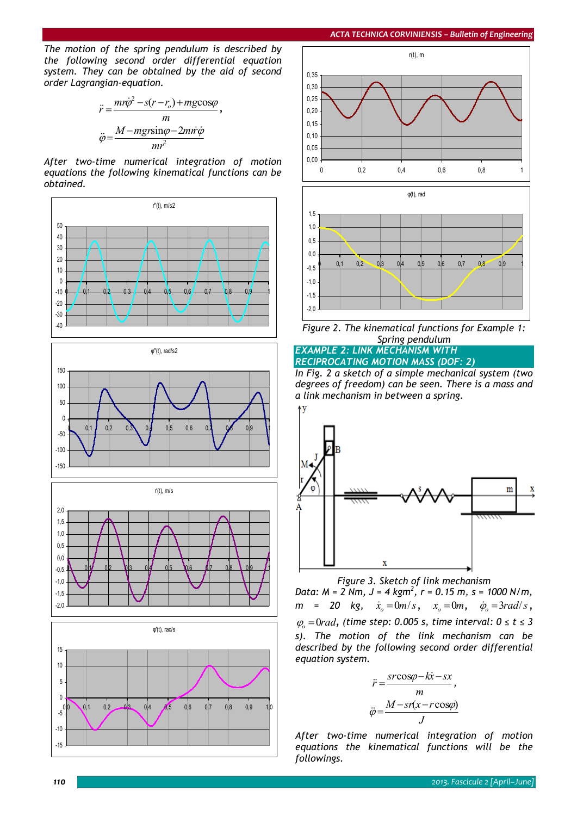*The motion of the spring pendulum is described by the following second order differential equation system. They can be obtained by the aid of second order Lagrangian-equation.* 

$$
\ddot{r} = \frac{m r \dot{\varphi}^2 - s(r - r_o) + mg \cos \varphi}{m},
$$

$$
\ddot{\varphi} = \frac{M - mg r \sin \varphi - 2m \dot{r} \dot{\varphi}}{m r^2}
$$

*After two-time numerical integration of motion equations the following kinematical functions can be obtained.* 

















*In Fig. 2 a sketch of a simple mechanical system (two degrees of freedom) can be seen. There is a mass and a link mechanism in between a spring.* 



*Figure 3. Sketch of link mechanism* 

*Data: M = 2 Nm, J = 4 kgm<sup>2</sup> , r = 0.15 m, s = 1000 N/m,*   $m = 20$  kg,  $\dot{x}_0 = 0$  *m*/*s*,  $x_0 = 0$  *m*,  $\dot{\varphi}_0 = 3$  *rad*/*s*, <sup>ϕ</sup>*<sup>o</sup>* =0*rad, (time step: 0.005 s, time interval: 0 ≤ t ≤ 3 s). The motion of the link mechanism can be described by the following second order differential equation system.* 

$$
\ddot{r} = \frac{s r \cos \varphi - k \dot{x} - s x}{m},
$$

$$
\ddot{\varphi} = \frac{M - s r (x - r \cos \varphi)}{J}
$$

*After two-time numerical integration of motion equations the kinematical functions will be the followings.*